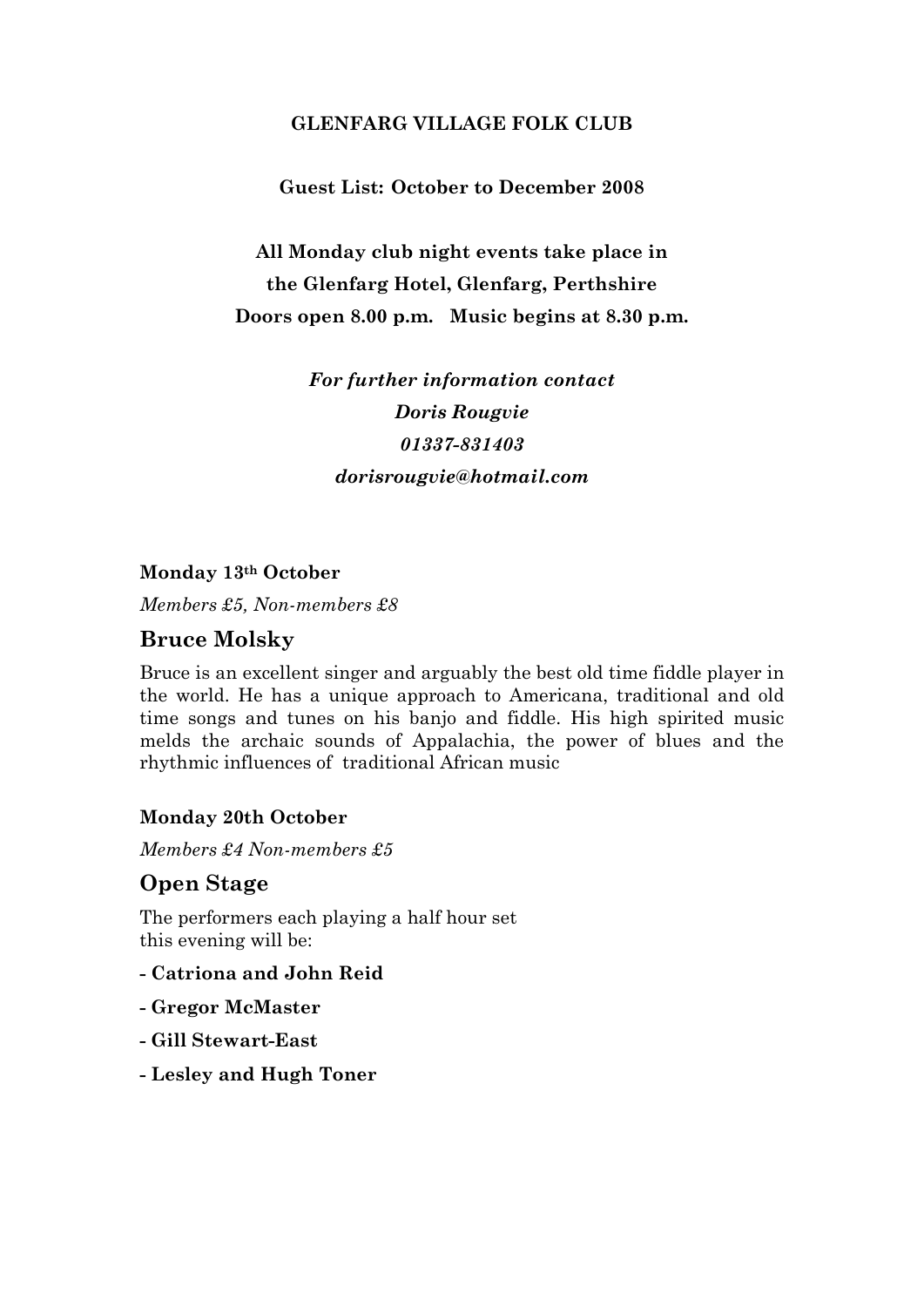### GLENFARG VILLAGE FOLK CLUB

#### Guest List: October to December 2008

All Monday club night events take place in the Glenfarg Hotel, Glenfarg, Perthshire Doors open 8.00 p.m. Music begins at 8.30 p.m.

> For further information contact Doris Rougvie 01337-831403 dorisrougvie@hotmail.com

#### Monday 13th October

Members £5, Non-members £8

## Bruce Molsky

Bruce is an excellent singer and arguably the best old time fiddle player in the world. He has a unique approach to Americana, traditional and old time songs and tunes on his banjo and fiddle. His high spirited music melds the archaic sounds of Appalachia, the power of blues and the rhythmic influences of traditional African music

#### Monday 20th October

Members £4 Non-members £5

#### Open Stage

The performers each playing a half hour set this evening will be:

- Catriona and John Reid
- Gregor McMaster
- Gill Stewart-East
- Lesley and Hugh Toner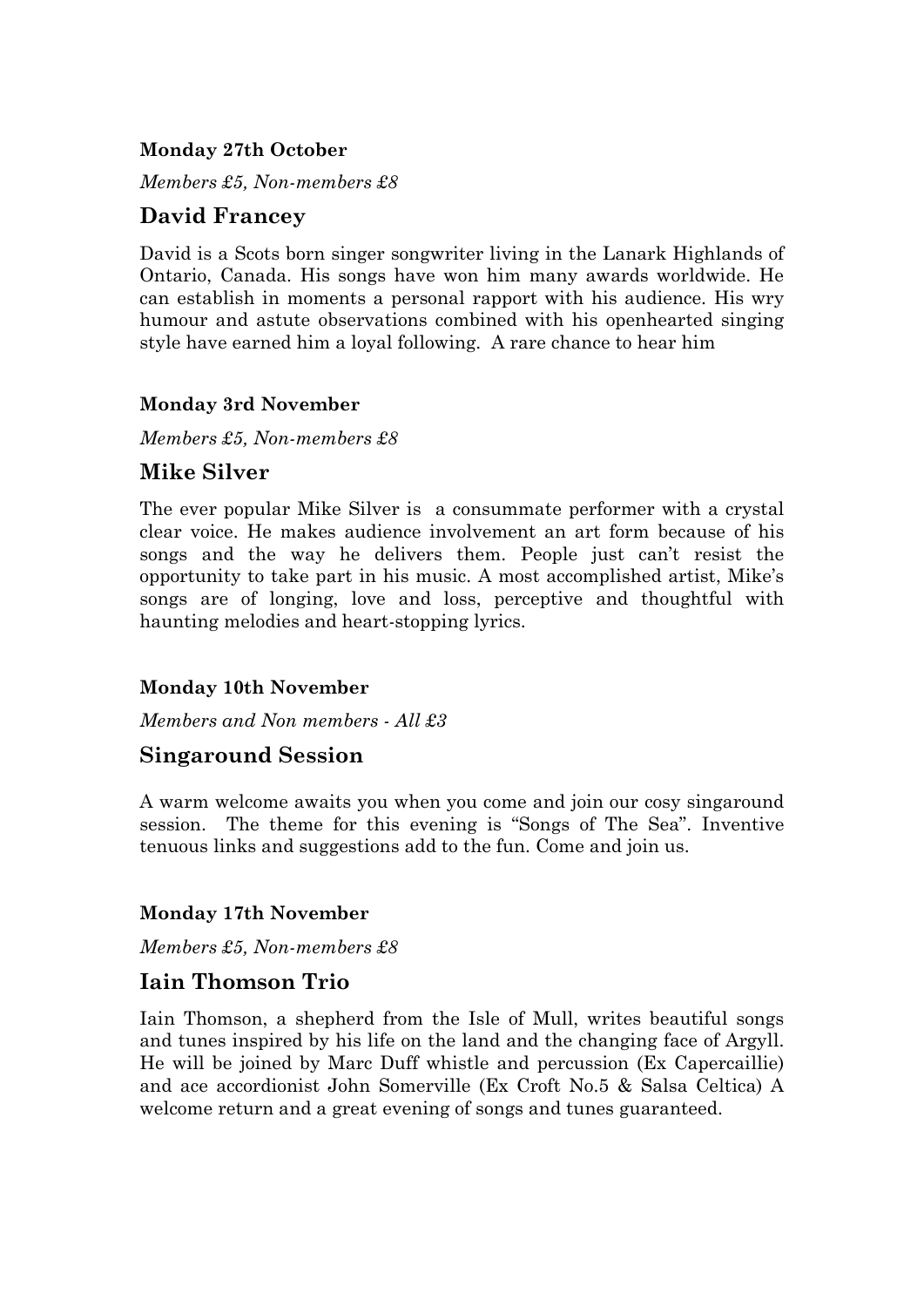### Monday 27th October

Members £5, Non-members £8

## David Francey

David is a Scots born singer songwriter living in the Lanark Highlands of Ontario, Canada. His songs have won him many awards worldwide. He can establish in moments a personal rapport with his audience. His wry humour and astute observations combined with his openhearted singing style have earned him a loyal following. A rare chance to hear him

#### Monday 3rd November

Members £5, Non-members £8

# Mike Silver

The ever popular Mike Silver is a consummate performer with a crystal clear voice. He makes audience involvement an art form because of his songs and the way he delivers them. People just can't resist the opportunity to take part in his music. A most accomplished artist, Mike's songs are of longing, love and loss, perceptive and thoughtful with haunting melodies and heart-stopping lyrics.

#### Monday 10th November

Members and Non members - All £3

#### Singaround Session

A warm welcome awaits you when you come and join our cosy singaround session. The theme for this evening is "Songs of The Sea". Inventive tenuous links and suggestions add to the fun. Come and join us.

#### Monday 17th November

Members £5, Non-members £8

## Iain Thomson Trio

Iain Thomson, a shepherd from the Isle of Mull, writes beautiful songs and tunes inspired by his life on the land and the changing face of Argyll. He will be joined by Marc Duff whistle and percussion (Ex Capercaillie) and ace accordionist John Somerville (Ex Croft No.5 & Salsa Celtica) A welcome return and a great evening of songs and tunes guaranteed.